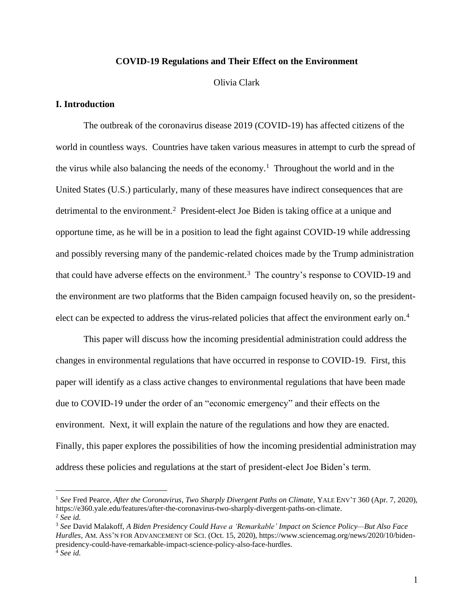## **COVID-19 Regulations and Their Effect on the Environment**

## Olivia Clark

## **I. Introduction**

The outbreak of the coronavirus disease 2019 (COVID-19) has affected citizens of the world in countless ways. Countries have taken various measures in attempt to curb the spread of the virus while also balancing the needs of the economy.<sup>1</sup> Throughout the world and in the United States (U.S.) particularly, many of these measures have indirect consequences that are detrimental to the environment.<sup>2</sup> President-elect Joe Biden is taking office at a unique and opportune time, as he will be in a position to lead the fight against COVID-19 while addressing and possibly reversing many of the pandemic-related choices made by the Trump administration that could have adverse effects on the environment.<sup>3</sup> The country's response to COVID-19 and the environment are two platforms that the Biden campaign focused heavily on, so the presidentelect can be expected to address the virus-related policies that affect the environment early on.<sup>4</sup>

This paper will discuss how the incoming presidential administration could address the changes in environmental regulations that have occurred in response to COVID-19. First, this paper will identify as a class active changes to environmental regulations that have been made due to COVID-19 under the order of an "economic emergency" and their effects on the environment. Next, it will explain the nature of the regulations and how they are enacted. Finally, this paper explores the possibilities of how the incoming presidential administration may address these policies and regulations at the start of president-elect Joe Biden's term.

<sup>&</sup>lt;sup>1</sup> See Fred Pearce, *After the Coronavirus, Two Sharply Divergent Paths on Climate, YALE ENV'T 360 (Apr. 7, 2020),* https://e360.yale.edu/features/after-the-coronavirus-two-sharply-divergent-paths-on-climate. <sup>2</sup> *See id.* 

<sup>3</sup> *See* David Malakoff, *A Biden Presidency Could Have a 'Remarkable' Impact on Science Policy—But Also Face Hurdles,* AM. ASS'N FOR ADVANCEMENT OF SCI. (Oct. 15, 2020), https://www.sciencemag.org/news/2020/10/bidenpresidency-could-have-remarkable-impact-science-policy-also-face-hurdles. <sup>4</sup> *See id.*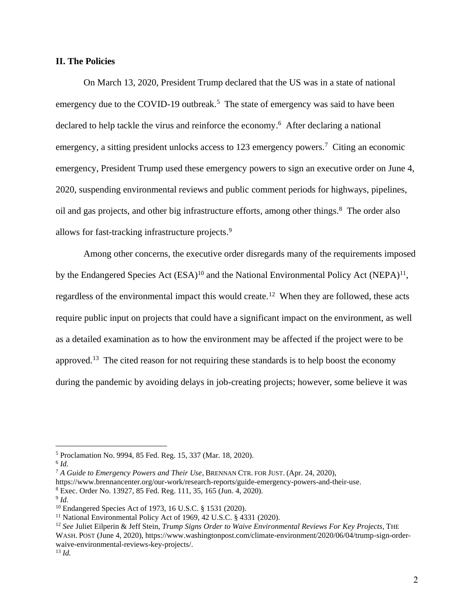# **II. The Policies**

On March 13, 2020, President Trump declared that the US was in a state of national emergency due to the COVID-19 outbreak.<sup>5</sup> The state of emergency was said to have been declared to help tackle the virus and reinforce the economy. <sup>6</sup> After declaring a national emergency, a sitting president unlocks access to 123 emergency powers.<sup>7</sup> Citing an economic emergency, President Trump used these emergency powers to sign an executive order on June 4, 2020, suspending environmental reviews and public comment periods for highways, pipelines, oil and gas projects, and other big infrastructure efforts, among other things. <sup>8</sup> The order also allows for fast-tracking infrastructure projects.<sup>9</sup>

Among other concerns, the executive order disregards many of the requirements imposed by the Endangered Species Act  $(ESA)^{10}$  and the National Environmental Policy Act  $(NEPA)^{11}$ , regardless of the environmental impact this would create.<sup>12</sup> When they are followed, these acts require public input on projects that could have a significant impact on the environment, as well as a detailed examination as to how the environment may be affected if the project were to be approved.<sup>13</sup> The cited reason for not requiring these standards is to help boost the economy during the pandemic by avoiding delays in job-creating projects; however, some believe it was

<sup>5</sup> Proclamation No. 9994, 85 Fed. Reg. 15, 337 (Mar. 18, 2020).

<sup>6</sup> *Id.* 

<sup>7</sup> *A Guide to Emergency Powers and Their Use*, BRENNAN CTR. FOR JUST. (Apr. 24, 2020),

https://www.brennancenter.org/our-work/research-reports/guide-emergency-powers-and-their-use.

<sup>8</sup> Exec. Order No. 13927, 85 Fed. Reg. 111, 35, 165 (Jun. 4, 2020).

<sup>9</sup> *Id.* 

<sup>10</sup> Endangered Species Act of 1973, 16 U.S.C. § 1531 (2020).

<sup>11</sup> National Environmental Policy Act of 1969, 42 U.S.C. § 4331 (2020).

<sup>12</sup> *See* Juliet Eilperin & Jeff Stein, *Trump Signs Order to Waive Environmental Reviews For Key Projects,* THE WASH.POST (June 4, 2020), https://www.washingtonpost.com/climate-environment/2020/06/04/trump-sign-orderwaive-environmental-reviews-key-projects/. <sup>13</sup> *Id.*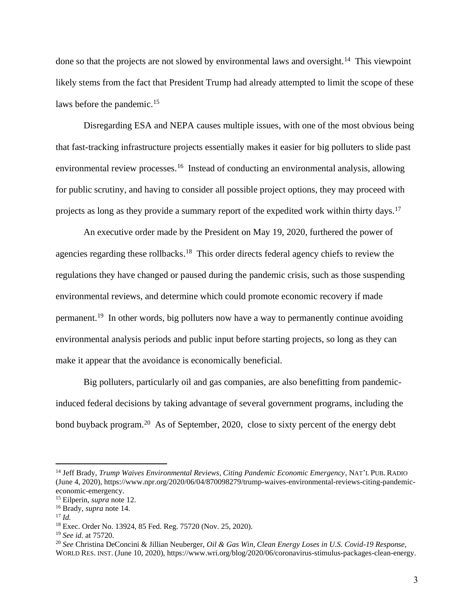done so that the projects are not slowed by environmental laws and oversight.<sup>14</sup> This viewpoint likely stems from the fact that President Trump had already attempted to limit the scope of these laws before the pandemic.<sup>15</sup>

Disregarding ESA and NEPA causes multiple issues, with one of the most obvious being that fast-tracking infrastructure projects essentially makes it easier for big polluters to slide past environmental review processes.<sup>16</sup> Instead of conducting an environmental analysis, allowing for public scrutiny, and having to consider all possible project options, they may proceed with projects as long as they provide a summary report of the expedited work within thirty days.<sup>17</sup>

An executive order made by the President on May 19, 2020, furthered the power of agencies regarding these rollbacks.<sup>18</sup> This order directs federal agency chiefs to review the regulations they have changed or paused during the pandemic crisis, such as those suspending environmental reviews, and determine which could promote economic recovery if made permanent.<sup>19</sup> In other words, big polluters now have a way to permanently continue avoiding environmental analysis periods and public input before starting projects, so long as they can make it appear that the avoidance is economically beneficial.

Big polluters, particularly oil and gas companies, are also benefitting from pandemicinduced federal decisions by taking advantage of several government programs, including the bond buyback program.<sup>20</sup> As of September, 2020, close to sixty percent of the energy debt

<sup>14</sup> Jeff Brady, *Trump Waives Environmental Reviews, Citing Pandemic Economic Emergency*, NAT'L PUB. RADIO (June 4, 2020), https://www.npr.org/2020/06/04/870098279/trump-waives-environmental-reviews-citing-pandemiceconomic-emergency.

<sup>15</sup> Eilperin, *supra* note 12.

<sup>16</sup> Brady, *supra* note 14.

 $17 \, Id.$ 

<sup>18</sup> Exec. Order No. 13924, 85 Fed. Reg. 75720 (Nov. 25, 2020).

<sup>19</sup> *See id.* at 75720.

<sup>20</sup> *See* Christina DeConcini & Jillian Neuberger, *Oil & Gas Win, Clean Energy Loses in U.S. Covid-19 Response,*  WORLD RES. INST. (June 10, 2020), https://www.wri.org/blog/2020/06/coronavirus-stimulus-packages-clean-energy.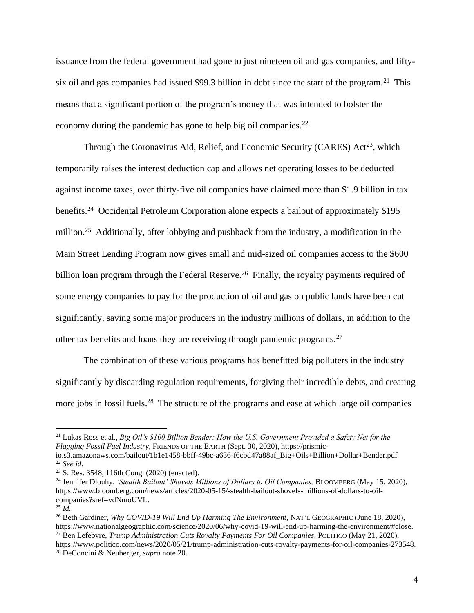issuance from the federal government had gone to just nineteen oil and gas companies, and fiftysix oil and gas companies had issued \$99.3 billion in debt since the start of the program.<sup>21</sup> This means that a significant portion of the program's money that was intended to bolster the economy during the pandemic has gone to help big oil companies.<sup>22</sup>

Through the Coronavirus Aid, Relief, and Economic Security (CARES)  $Act^{23}$ , which temporarily raises the interest deduction cap and allows net operating losses to be deducted against income taxes, over thirty-five oil companies have claimed more than \$1.9 billion in tax benefits.<sup>24</sup> Occidental Petroleum Corporation alone expects a bailout of approximately \$195 million.<sup>25</sup> Additionally, after lobbying and pushback from the industry, a modification in the Main Street Lending Program now gives small and mid-sized oil companies access to the \$600 billion loan program through the Federal Reserve.<sup>26</sup> Finally, the royalty payments required of some energy companies to pay for the production of oil and gas on public lands have been cut significantly, saving some major producers in the industry millions of dollars, in addition to the other tax benefits and loans they are receiving through pandemic programs.<sup>27</sup>

The combination of these various programs has benefitted big polluters in the industry significantly by discarding regulation requirements, forgiving their incredible debts, and creating more jobs in fossil fuels.<sup>28</sup> The structure of the programs and ease at which large oil companies

<sup>21</sup> Lukas Ross et al., *Big Oil's \$100 Billion Bender: How the U.S. Government Provided a Safety Net for the Flagging Fossil Fuel Industry,* FRIENDS OF THE EARTH (Sept. 30, 2020), https://prismic-

io.s3.amazonaws.com/bailout/1b1e1458-bbff-49bc-a636-f6cbd47a88af\_Big+Oils+Billion+Dollar+Bender.pdf <sup>22</sup> *See id.* 

<sup>23</sup> S. Res. 3548, 116th Cong. (2020) (enacted).

<sup>&</sup>lt;sup>24</sup> Jennifer Dlouhy, *'Stealth Bailout' Shovels Millions of Dollars to Oil Companies, BLOOMBERG (May 15, 2020),* https://www.bloomberg.com/news/articles/2020-05-15/-stealth-bailout-shovels-millions-of-dollars-to-oilcompanies?sref=vdNmoUVL.

 $^{25}$  *Id.* 

<sup>26</sup> Beth Gardiner, *Why COVID-19 Will End Up Harming The Environment,* NAT'L GEOGRAPHIC (June 18, 2020), https://www.nationalgeographic.com/science/2020/06/why-covid-19-will-end-up-harming-the-environment/#close. <sup>27</sup> Ben Lefebvre, *Trump Administration Cuts Royalty Payments For Oil Companies*, POLITICO (May 21, 2020), https://www.politico.com/news/2020/05/21/trump-administration-cuts-royalty-payments-for-oil-companies-273548. <sup>28</sup> DeConcini & Neuberger, *supra* note 20.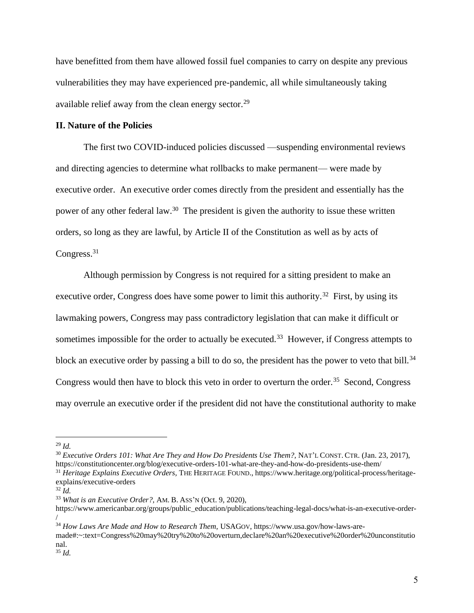have benefitted from them have allowed fossil fuel companies to carry on despite any previous vulnerabilities they may have experienced pre-pandemic, all while simultaneously taking available relief away from the clean energy sector.<sup>29</sup>

### **II. Nature of the Policies**

The first two COVID-induced policies discussed —suspending environmental reviews and directing agencies to determine what rollbacks to make permanent— were made by executive order. An executive order comes directly from the president and essentially has the power of any other federal law.<sup>30</sup> The president is given the authority to issue these written orders, so long as they are lawful, by Article II of the Constitution as well as by acts of Congress.<sup>31</sup>

Although permission by Congress is not required for a sitting president to make an executive order, Congress does have some power to limit this authority.<sup>32</sup> First, by using its lawmaking powers, Congress may pass contradictory legislation that can make it difficult or sometimes impossible for the order to actually be executed.<sup>33</sup> However, if Congress attempts to block an executive order by passing a bill to do so, the president has the power to veto that bill.<sup>34</sup> Congress would then have to block this veto in order to overturn the order.<sup>35</sup> Second, Congress may overrule an executive order if the president did not have the constitutional authority to make

<sup>30</sup> *Executive Orders 101: What Are They and How Do Presidents Use Them?*, NAT'L CONST. CTR. (Jan. 23, 2017), https://constitutioncenter.org/blog/executive-orders-101-what-are-they-and-how-do-presidents-use-them/ <sup>31</sup> *Heritage Explains Executive Orders*, THE HERITAGE FOUND., https://www.heritage.org/political-process/heritage-

<sup>33</sup> *What is an Executive Order?,* AM. B. ASS'N (Oct. 9, 2020),

<sup>29</sup> *Id.* 

explains/executive-orders

 $32$  *Id.* 

https://www.americanbar.org/groups/public\_education/publications/teaching-legal-docs/what-is-an-executive-order- /

<sup>34</sup> *How Laws Are Made and How to Research Them,* USAGOV, https://www.usa.gov/how-laws-are-

made#:~:text=Congress%20may%20try%20to%20overturn,declare%20an%20executive%20order%20unconstitutio nal.

<sup>35</sup> *Id.*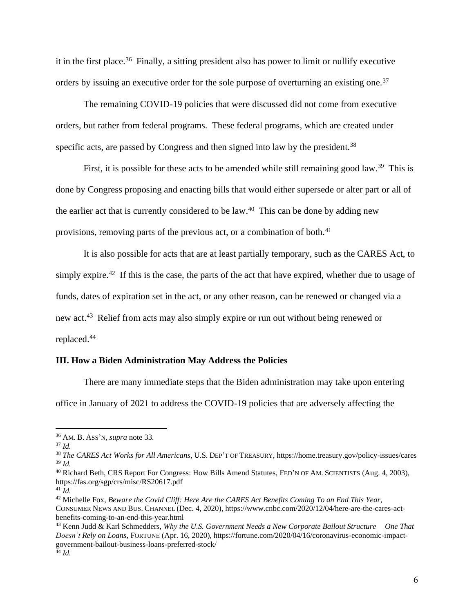it in the first place.<sup>36</sup> Finally, a sitting president also has power to limit or nullify executive orders by issuing an executive order for the sole purpose of overturning an existing one.<sup>37</sup>

The remaining COVID-19 policies that were discussed did not come from executive orders, but rather from federal programs. These federal programs, which are created under specific acts, are passed by Congress and then signed into law by the president.<sup>38</sup>

First, it is possible for these acts to be amended while still remaining good law.<sup>39</sup> This is done by Congress proposing and enacting bills that would either supersede or alter part or all of the earlier act that is currently considered to be law.<sup>40</sup> This can be done by adding new provisions, removing parts of the previous act, or a combination of both.<sup>41</sup>

It is also possible for acts that are at least partially temporary, such as the CARES Act, to simply expire.<sup>42</sup> If this is the case, the parts of the act that have expired, whether due to usage of funds, dates of expiration set in the act, or any other reason, can be renewed or changed via a new act.<sup>43</sup> Relief from acts may also simply expire or run out without being renewed or replaced.<sup>44</sup>

### **III. How a Biden Administration May Address the Policies**

There are many immediate steps that the Biden administration may take upon entering

office in January of 2021 to address the COVID-19 policies that are adversely affecting the

<sup>36</sup> AM. B. ASS'N, *supra* note 33*.* 

 $37$  *Id.* 

<sup>38</sup> *The CARES Act Works for All Americans,* U.S. DEP'T OF TREASURY, https://home.treasury.gov/policy-issues/cares <sup>39</sup> *Id.*

<sup>&</sup>lt;sup>40</sup> Richard Beth, CRS Report For Congress: How Bills Amend Statutes, FED'N OF AM. SCIENTISTS (Aug. 4, 2003), https://fas.org/sgp/crs/misc/RS20617.pdf

 $^{41}$ *Id.* 

<sup>42</sup> Michelle Fox, *Beware the Covid Cliff: Here Are the CARES Act Benefits Coming To an End This Year,*  CONSUMER NEWS AND BUS. CHANNEL (Dec. 4, 2020), https://www.cnbc.com/2020/12/04/here-are-the-cares-actbenefits-coming-to-an-end-this-year.html

<sup>43</sup> Kenn Judd & Karl Schmedders, *Why the U.S. Government Needs a New Corporate Bailout Structure— One That Doesn't Rely on Loans,* FORTUNE (Apr. 16, 2020), https://fortune.com/2020/04/16/coronavirus-economic-impactgovernment-bailout-business-loans-preferred-stock/ <sup>44</sup> *Id.*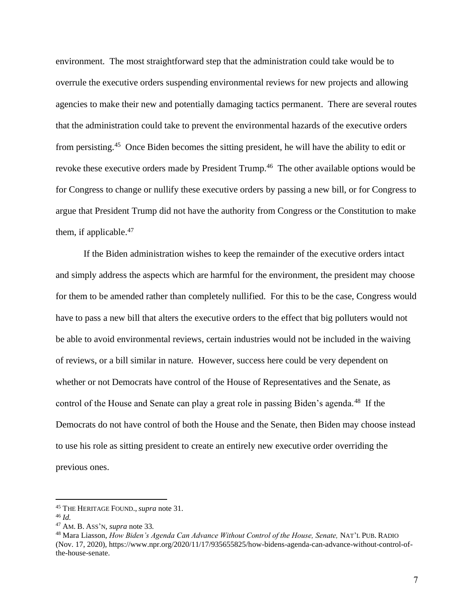environment. The most straightforward step that the administration could take would be to overrule the executive orders suspending environmental reviews for new projects and allowing agencies to make their new and potentially damaging tactics permanent. There are several routes that the administration could take to prevent the environmental hazards of the executive orders from persisting.<sup>45</sup> Once Biden becomes the sitting president, he will have the ability to edit or revoke these executive orders made by President Trump.<sup>46</sup> The other available options would be for Congress to change or nullify these executive orders by passing a new bill, or for Congress to argue that President Trump did not have the authority from Congress or the Constitution to make them, if applicable.<sup>47</sup>

If the Biden administration wishes to keep the remainder of the executive orders intact and simply address the aspects which are harmful for the environment, the president may choose for them to be amended rather than completely nullified. For this to be the case, Congress would have to pass a new bill that alters the executive orders to the effect that big polluters would not be able to avoid environmental reviews, certain industries would not be included in the waiving of reviews, or a bill similar in nature. However, success here could be very dependent on whether or not Democrats have control of the House of Representatives and the Senate, as control of the House and Senate can play a great role in passing Biden's agenda.<sup>48</sup> If the Democrats do not have control of both the House and the Senate, then Biden may choose instead to use his role as sitting president to create an entirely new executive order overriding the previous ones.

<sup>45</sup> THE HERITAGE FOUND., *supra* note 31.

<sup>46</sup> *Id.*

<sup>47</sup> AM. B. ASS'N, *supra* note 33*.*

<sup>&</sup>lt;sup>48</sup> Mara Liasson, *How Biden's Agenda Can Advance Without Control of the House, Senate, NAT'L PUB. RADIO* (Nov. 17, 2020), https://www.npr.org/2020/11/17/935655825/how-bidens-agenda-can-advance-without-control-ofthe-house-senate.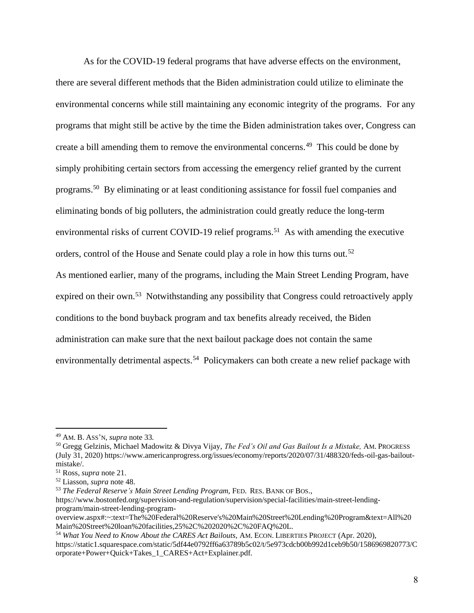As for the COVID-19 federal programs that have adverse effects on the environment, there are several different methods that the Biden administration could utilize to eliminate the environmental concerns while still maintaining any economic integrity of the programs. For any programs that might still be active by the time the Biden administration takes over, Congress can create a bill amending them to remove the environmental concerns.<sup>49</sup> This could be done by simply prohibiting certain sectors from accessing the emergency relief granted by the current programs.<sup>50</sup> By eliminating or at least conditioning assistance for fossil fuel companies and eliminating bonds of big polluters, the administration could greatly reduce the long-term environmental risks of current COVID-19 relief programs.<sup>51</sup> As with amending the executive orders, control of the House and Senate could play a role in how this turns out.<sup>52</sup> As mentioned earlier, many of the programs, including the Main Street Lending Program, have expired on their own.<sup>53</sup> Notwithstanding any possibility that Congress could retroactively apply conditions to the bond buyback program and tax benefits already received, the Biden administration can make sure that the next bailout package does not contain the same environmentally detrimental aspects.<sup>54</sup> Policymakers can both create a new relief package with

<sup>49</sup> AM. B. ASS'N, *supra* note 33*.*

<sup>50</sup> Gregg Gelzinis, Michael Madowitz & Divya Vijay, *The Fed's Oil and Gas Bailout Is a Mistake,* AM.PROGRESS (July 31, 2020) https://www.americanprogress.org/issues/economy/reports/2020/07/31/488320/feds-oil-gas-bailoutmistake/.

<sup>51</sup> Ross, *supra* note 21.

<sup>52</sup> Liasson, *supra* note 48.

<sup>53</sup> *The Federal Reserve's Main Street Lending Program,* FED. RES. BANK OF BOS.,

https://www.bostonfed.org/supervision-and-regulation/supervision/special-facilities/main-street-lendingprogram/main-street-lending-program-

overview.aspx#:~:text=The%20Federal%20Reserve's%20Main%20Street%20Lending%20Program&text=All%20 Main%20Street%20loan%20facilities,25%2C%202020%2C%20FAQ%20L.

<sup>54</sup> *What You Need to Know About the CARES Act Bailouts,* AM. ECON. LIBERTIES PROJECT (Apr. 2020), https://static1.squarespace.com/static/5df44e0792ff6a63789b5c02/t/5e973cdcb00b992d1ceb9b50/1586969820773/C orporate+Power+Quick+Takes\_1\_CARES+Act+Explainer.pdf.